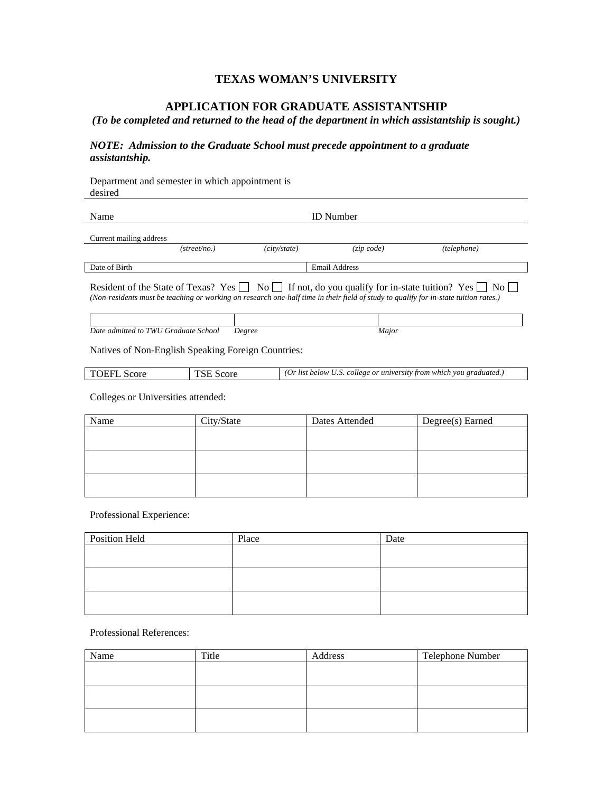## **TEXAS WOMAN'S UNIVERSITY**

## **APPLICATION FOR GRADUATE ASSISTANTSHIP**

*(To be completed and returned to the head of the department in which assistantship is sought.)*

## *NOTE: Admission to the Graduate School must precede appointment to a graduate assistantship.*

Department and semester in which appointment is desired

| Name                    |                       |              | <b>ID</b> Number     |             |
|-------------------------|-----------------------|--------------|----------------------|-------------|
| Current mailing address |                       |              |                      |             |
|                         | $(\text{street}/no.)$ | (city/state) | $(zip\ code)$        | (telephone) |
| Date of Birth           |                       |              | <b>Email Address</b> |             |
|                         |                       |              |                      |             |

Resident of the State of Texas? Yes  $\Box$  No  $\Box$  If not, do you qualify for in-state tuition? Yes  $\Box$  No *(Non-residents must be teaching or working on research one-half time in their field of study to qualify for in-state tuition rates.)*

*Date admitted to TWU Graduate School Degree Major*

Natives of Non-English Speaking Foreign Countries:

| <b>TOEFL Score</b> | <b>TSE Score</b> | (Or list below U.S. college or university from which you graduated.) |
|--------------------|------------------|----------------------------------------------------------------------|
|                    |                  |                                                                      |

Colleges or Universities attended:

| Name | City/State | Dates Attended | Degree(s) Earned |
|------|------------|----------------|------------------|
|      |            |                |                  |
|      |            |                |                  |
|      |            |                |                  |
|      |            |                |                  |
|      |            |                |                  |
|      |            |                |                  |

Professional Experience:

| <b>Position Held</b> | Place | Date |
|----------------------|-------|------|
|                      |       |      |
|                      |       |      |
|                      |       |      |
|                      |       |      |
|                      |       |      |
|                      |       |      |

Professional References:

| Name | Title | Address | Telephone Number |
|------|-------|---------|------------------|
|      |       |         |                  |
|      |       |         |                  |
|      |       |         |                  |
|      |       |         |                  |
|      |       |         |                  |
|      |       |         |                  |